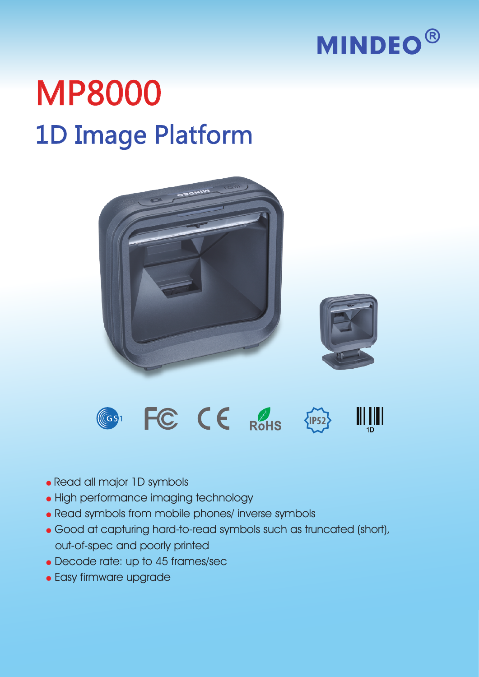

## 1D Image Platform MP8000





- Read all major 1D symbols
- High performance imaging technology
- Read symbols from mobile phones/ inverse symbols
- Good at capturing hard-to-read symbols such as truncated (short), out-of-spec and poorly printed
- Decode rate: up to 45 frames/sec
- Easy firmware upgrade